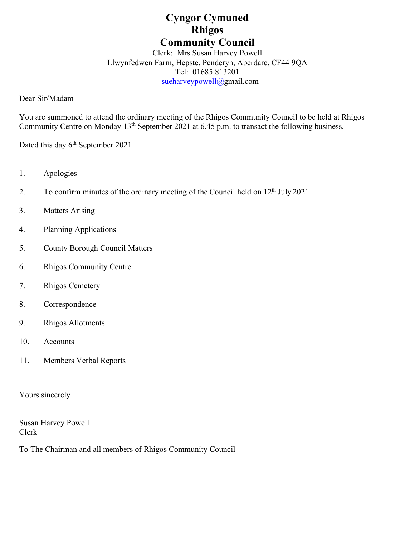# **Cyngor Cymuned Rhigos Community Council**

# Clerk: Mrs Susan Harvey Powell Llwynfedwen Farm, Hepste, Penderyn, Aberdare, CF44 9QA

Tel: 01685 813201 [sueharveypowell@g](mailto:sharveypowell@comin-infants.co.uk)mail.com

Dear Sir/Madam

You are summoned to attend the ordinary meeting of the Rhigos Community Council to be held at Rhigos Community Centre on Monday  $13<sup>th</sup>$  September 2021 at 6.45 p.m. to transact the following business.

Dated this day 6<sup>th</sup> September 2021

- 1. Apologies
- 2. To confirm minutes of the ordinary meeting of the Council held on  $12<sup>th</sup>$  July 2021
- 3. Matters Arising
- 4. Planning Applications
- 5. County Borough Council Matters
- 6. Rhigos Community Centre
- 7. Rhigos Cemetery
- 8. Correspondence
- 9. Rhigos Allotments
- 10. Accounts
- 11. Members Verbal Reports

Yours sincerely

Susan Harvey Powell Clerk

To The Chairman and all members of Rhigos Community Council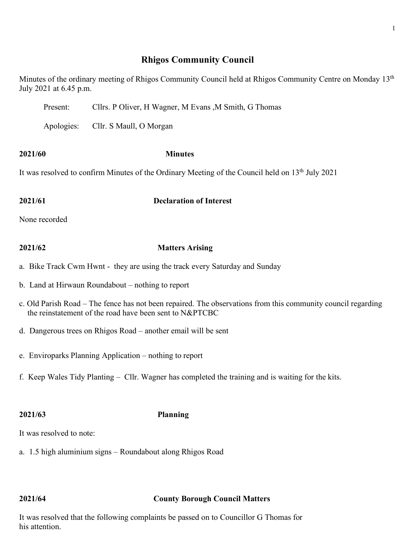# **Rhigos Community Council**

Minutes of the ordinary meeting of Rhigos Community Council held at Rhigos Community Centre on Monday 13<sup>th</sup> July 2021 at 6.45 p.m.

Present: Cllrs. P Oliver, H Wagner, M Evans ,M Smith, G Thomas

Apologies: Cllr. S Maull, O Morgan

### **2021/60 Minutes**

It was resolved to confirm Minutes of the Ordinary Meeting of the Council held on 13<sup>th</sup> July 2021

### **2021/61 Declaration of Interest**

None recorded

## **2021/62 Matters Arising**

- a. Bike Track Cwm Hwnt they are using the track every Saturday and Sunday
- b. Land at Hirwaun Roundabout nothing to report
- c. Old Parish Road The fence has not been repaired. The observations from this community council regarding the reinstatement of the road have been sent to N&PTCBC
- d. Dangerous trees on Rhigos Road another email will be sent
- e. Enviroparks Planning Application nothing to report
- f. Keep Wales Tidy Planting Cllr. Wagner has completed the training and is waiting for the kits.

### **2021/63 Planning**

It was resolved to note:

a. 1.5 high aluminium signs – Roundabout along Rhigos Road

### **2021/64 County Borough Council Matters**

It was resolved that the following complaints be passed on to Councillor G Thomas for his attention.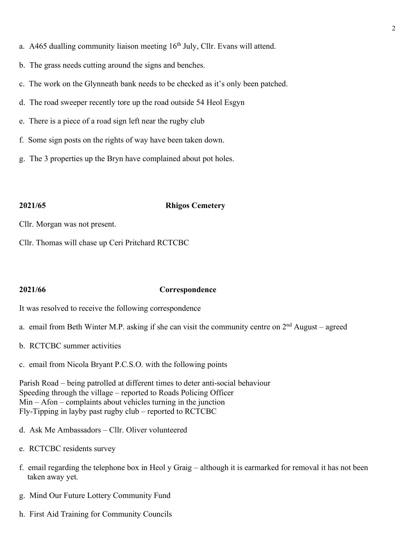- a. A465 dualling community liaison meeting  $16<sup>th</sup>$  July, Cllr. Evans will attend.
- b. The grass needs cutting around the signs and benches.
- c. The work on the Glynneath bank needs to be checked as it's only been patched.
- d. The road sweeper recently tore up the road outside 54 Heol Esgyn
- e. There is a piece of a road sign left near the rugby club
- f. Some sign posts on the rights of way have been taken down.
- g. The 3 properties up the Bryn have complained about pot holes.

### **2021/65 Rhigos Cemetery**

Cllr. Morgan was not present.

Cllr. Thomas will chase up Ceri Pritchard RCTCBC

### **2021/66 Correspondence**

It was resolved to receive the following correspondence

- a. email from Beth Winter M.P. asking if she can visit the community centre on  $2<sup>nd</sup>$  August agreed
- b. RCTCBC summer activities
- c. email from Nicola Bryant P.C.S.O. with the following points

Parish Road – being patrolled at different times to deter anti-social behaviour Speeding through the village – reported to Roads Policing Officer Min – Afon – complaints about vehicles turning in the junction Fly-Tipping in layby past rugby club – reported to RCTCBC

- d. Ask Me Ambassadors Cllr. Oliver volunteered
- e. RCTCBC residents survey
- f. email regarding the telephone box in Heol y Graig although it is earmarked for removal it has not been taken away yet.
- g. Mind Our Future Lottery Community Fund
- h. First Aid Training for Community Councils